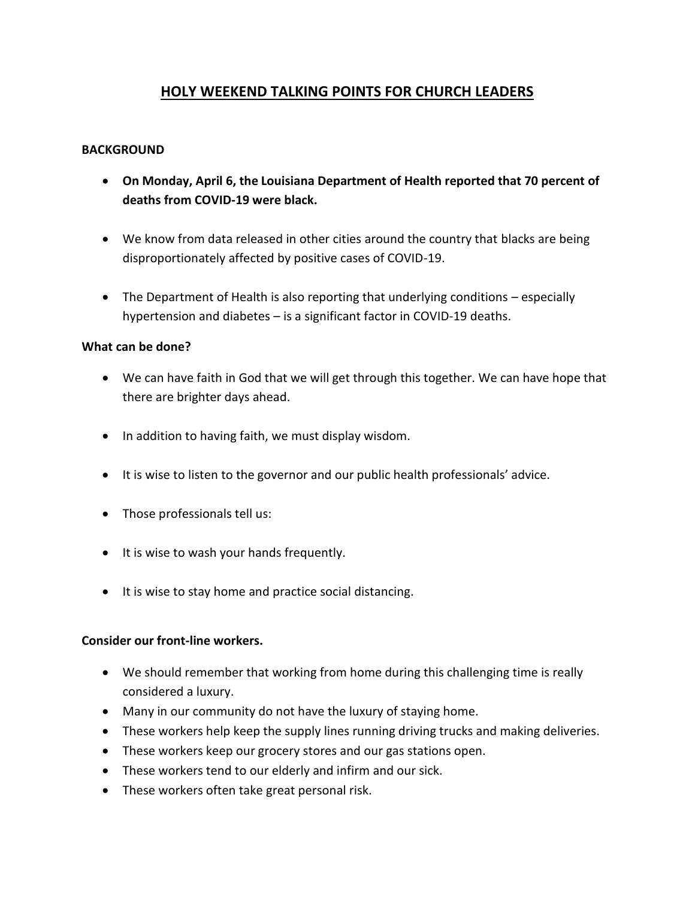# **HOLY WEEKEND TALKING POINTS FOR CHURCH LEADERS**

#### **BACKGROUND**

- **On Monday, April 6, the Louisiana Department of Health reported that 70 percent of deaths from COVID-19 were black.**
- We know from data released in other cities around the country that blacks are being disproportionately affected by positive cases of COVID-19.
- The Department of Health is also reporting that underlying conditions especially hypertension and diabetes – is a significant factor in COVID-19 deaths.

#### **What can be done?**

- We can have faith in God that we will get through this together. We can have hope that there are brighter days ahead.
- In addition to having faith, we must display wisdom.
- It is wise to listen to the governor and our public health professionals' advice.
- Those professionals tell us:
- It is wise to wash your hands frequently.
- It is wise to stay home and practice social distancing.

#### **Consider our front-line workers.**

- We should remember that working from home during this challenging time is really considered a luxury.
- Many in our community do not have the luxury of staying home.
- These workers help keep the supply lines running driving trucks and making deliveries.
- These workers keep our grocery stores and our gas stations open.
- These workers tend to our elderly and infirm and our sick.
- These workers often take great personal risk.